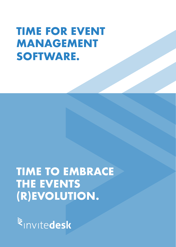# **TIME FOR EVENT MANAGEMENT SOFTWARE.**

## **TIME TO EMBRACE THE EVENTS (R)EVOLUTION.**

Rinvitedesk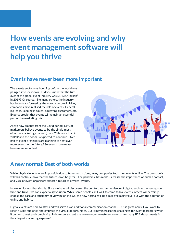### **How events are evolving and why event management software will help you thrive**

#### **Events have never been more important**

The events sector was booming before the world was plunged into lockdown.1 Did you know that the turnover of the global event industry was \$1,135.4 billion2 in 2019? Of course, like many others, the industry has been transformed by the corona outbreak. Many companies have realised the role of events. Generating leads, keeping in touch, educating customers, etc. Experts predict that events will remain an essential part of the marketing mix.

As we now emerge from the Covid period, 61% of marketeers believe events to be the single-most effective marketing channel (that's 20% more than in  $2019$ <sup>3</sup> and the boom is expected to continue. Over half of event organisers are planning to host even more events in the future.4 So events have never been more important.



### **A new normal: Best of both worlds**

While physical events were impossible due to travel restrictions, many companies took their events online. The question is: will this continue now that the future looks brighter? The pandemic has made us realise the importance of human contact, and 96% of event organisers expect a return to physical events.

However, it's not that simple. Since we have all discovered the comfort and convenience of digital, such as the savings on time and travel, we can expect a (r)evolution. While some people can't wait to come to live events, others will certainly choose the ease and efficiency of viewing online. So, the new normal will be a mix: still mainly live, but with the addition of online and hybrid.

Digital events are here to stay, and will serve as an additional communication channel. This is great news if you want to reach a wide audience and embrace the virtual opportunities. But it may increase the challenges for event marketers when it comes to cost and complexity. So how can you get a return on your investment on what for many B2B departments is their largest marketing expense?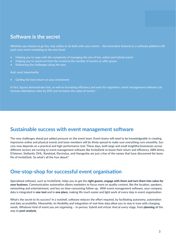#### **Software is the secret**

Whether you choose to go live, stay online or do both with your events - the innovative features in a software platform will push your event marketing to the next level:

- Helping you to cope with the complexity of managing the mix of live, online and hybrid events
- Helping you to stand out from the crowd as the number of events on offer grows
- Embracing the challenges along the way

And, most importantly:

Getting the best return on your investment

In fact, figures demonstrate that, as well as increasing efficiency and ease for organisers, event management software can increase attendance rates by 20% and increases the value of events.<sup>5</sup>

#### **Sustainable success with event management software**

The new challenges ahead put added pressure on the event team. Event teams will need to be knowledgeable in creating impressive online and physical events and team members will be thinly spread to make sure everything runs smoothly. Success now depends on a practical and high-performance tool. These days, both large and small insightful businesses across different sectors are turning to event management software like InviteDesk to boost their return and efficiency. ABN Amro, D'Ieteren, Stellantis, DHL, Randstad, Electrolux, and Hansgrohe are just a few of the names that have discovered the benefits of InviteDesk. So what's all the fuss about?

#### **One-stop-shop for successful event organisation**

Specialised software, such as InviteDesk, helps you to get the **right guests, engage with them and turn them into value for your business**. Communication automation allows marketers to focus more on quality content, like the location, speakers, networking and entertainment, and less on time-consuming follow-up. With event management software, your company data is integrated in **one tool** and in **one place**, making life much easier and light work of every step in event organisation.

What's the secret to its success? In a nutshell, software reduces the effort required, by facilitating autonomy, automation and data accessibility. Meanwhile, its flexibility and integration of real-time data allow you to stay in tune with changing needs. Whatever kind of event you are organising – in-person, hybrid and virtual. And at every stage, from **planning** all the way to **post-analysis**.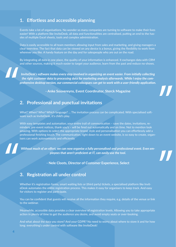#### **1. Effortless and accessible planning**

Events take a lot of organisations. No wonder so many companies are turning to software to make their lives easier! With a platform like InviteDesk, all data and functionalities are centralised, putting an end to the hassles of multiple Excel sheets, tools and complex administration.

Data is easily accessible to all team members allowing input from sales and marketing, and giving managers a clear overview. The fact that data can be viewed on any device is a bonus, giving the flexibility to work from wherever you like. A handy feature on the day and for salespeople who are out on the road.

By integrating all data in one place, the quality of your information is enhanced. It exchanges data with CRM and other sources, making it much easier to target your audience, learn from the past and reduce no-shows.

*InviteDesk's software makes every step involved in organizing an event easier. From initially collecting the right customer data to processing data for marketing analysis afterwards. While I enjoy the comprehensive desktop version, our commercial colleagues can get to work with a user-friendly application.*

**- Anke Souvereyns, Event Coordinator, Sterck Magazine**

#### **2. Professional and punctual invitations**

What? When? Who? Which language? ... The invitation process can be complicated. With specialised software such as InviteDesk, it's child's play.

With easy templates and automation, your entire trail of communication – save the dates, invitations, reminders, pre-event notices, thank you's – will be fired out automatically and on time. Not to mention look amazing. With options to select the appropriate brand, style and personalisation you can effortlessly add a professional finishing touch. The communication, right down to an event website, is so easy to create, organisers can work autonomously and efficiently

*Without much of an effort, we can now organise a fully personalised and professional event. Even employees that aren't proficient at IT, can easily use the tool.*

#### **- Nele Cloots, Director of Customer Experience, Select**

#### **3. Registration all under control**

Whether it's registration forms, smart waiting lists or (third party) tickets, a specialised platform like InviteDesk automates the entire registration process. This makes it easy for organisers to keep track. And easy for visitors to register and participate.

You can be confident that guests will receive all the information they require, e.g. details of the venue or link to the webinar.

Meanwhile, accessible data provides a clear overview of registration levels. Allowing you to take appropriate action in plenty of time to get the audience you desire, and avoid empty seats or over-booking.

And what about the data you store? And your GDPR? No need to worry about where to store it and for how long: everything's under control with software like InviteDesk!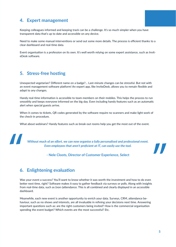#### **4. Expert management**

Keeping colleagues informed and keeping track can be a challenge. It's so much simpler when you have transparent data that's up to date and accessible on any device.

Need to make some manual interventions or send out some more details. The process is efficient thanks to a clear dashboard and real-time data.

Event organisation is a profession on its own. It's well worth relying on some expert assistance, such as InviteDesk software.

#### **5. Stress-free hosting**

Unexpected vegetarian? Different name on a badge?... Last-minute changes can be stressful. But not with an event management software platform! An expert app, like InviteDesk, allows you to remain flexible and adapt to any changes.

Handy real-time information is accessible to team members on their mobiles. This helps the process to run smoothly and keeps everyone informed on the big day. Even including handy features such as an automatic alert when special guests arrive.

When it comes to tickets, QR codes generated by the software require no scanners and make light work of the check-in procedure.

What about webinars? Handy features such as break-out rooms help you get the most out of the event.

*Without much of an effort, we can now organise a fully personalised and professional event. Even employees that aren't proficient at IT, can easily use the tool.*



**- Nele Cloots, Director of Customer Experience, Select**

#### **6. Enlightening evaluation**

Was your event a success? You'll want to know whether it was worth the investment and how to do even better next time, right? Software makes it easy to gather feedback via surveys or polls. Along with insights from real-time data, such as (non-)attendance. This is all combined and clearly displayed in an accessible dashboard.

Meanwhile, each new event is another opportunity to enrich your data. Surveys, CRM, attendance behaviour, such as no shows and interests, are all invaluable in refining your decisions next time. Answering important questions such as: are the right customers being invited? How is the commercial organisation spending the event budget? Which events are the most successful? Etc.